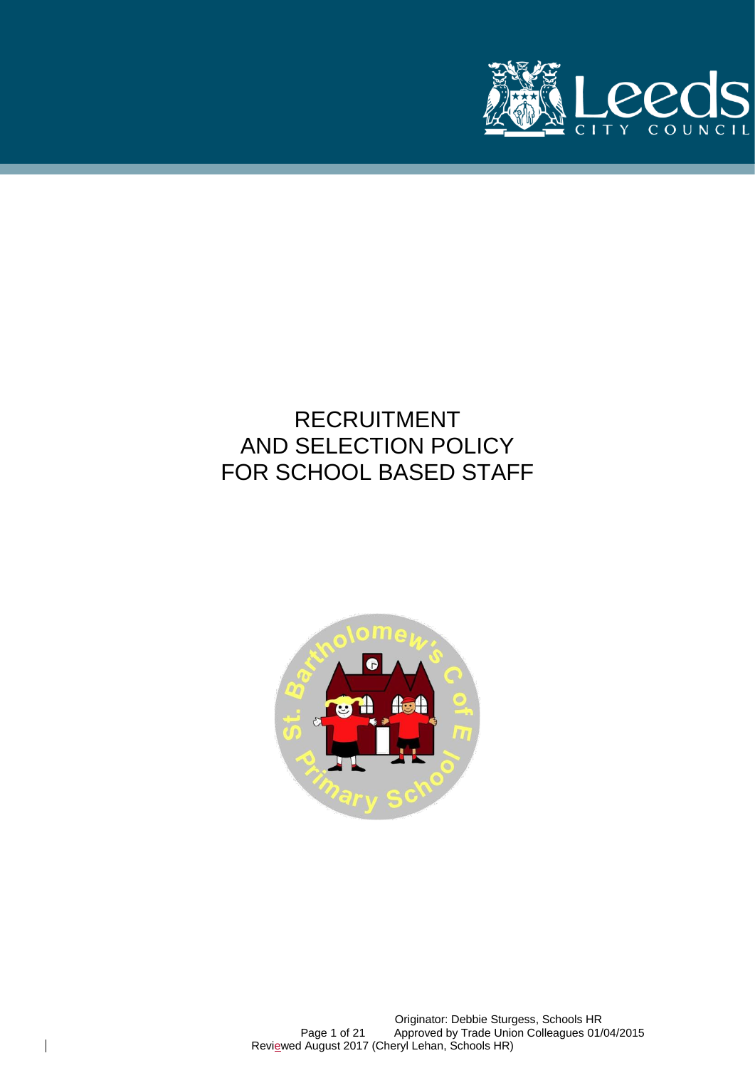

# RECRUITMENT AND SELECTION POLICY FOR SCHOOL BASED STAFF

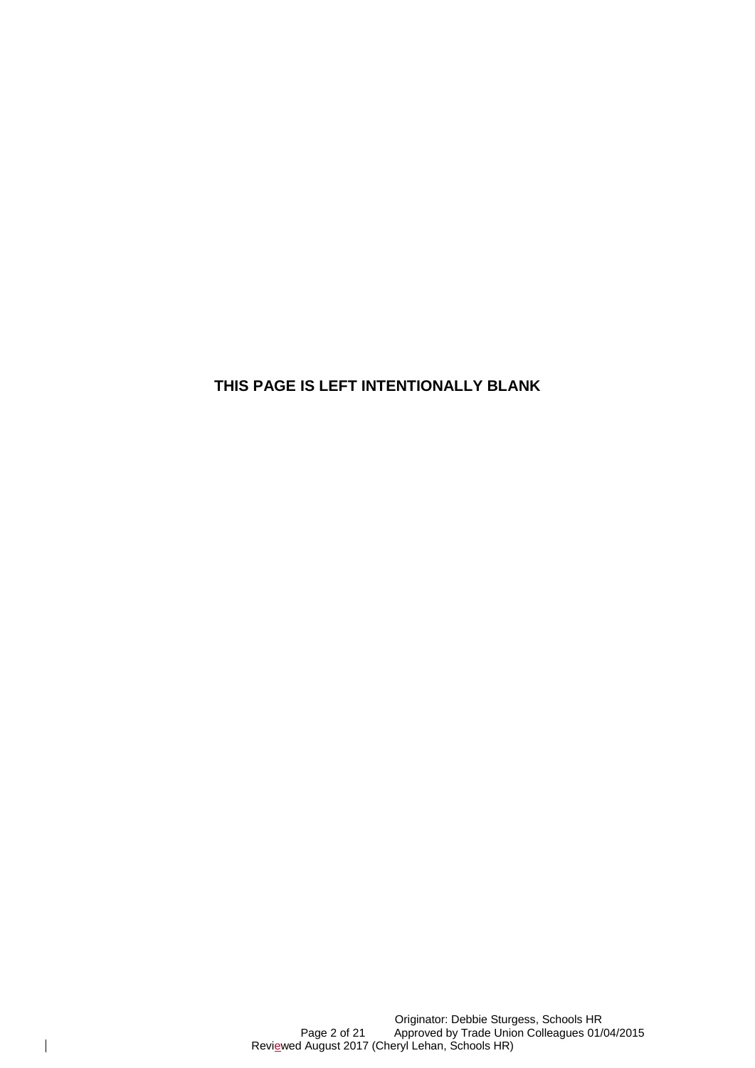**THIS PAGE IS LEFT INTENTIONALLY BLANK**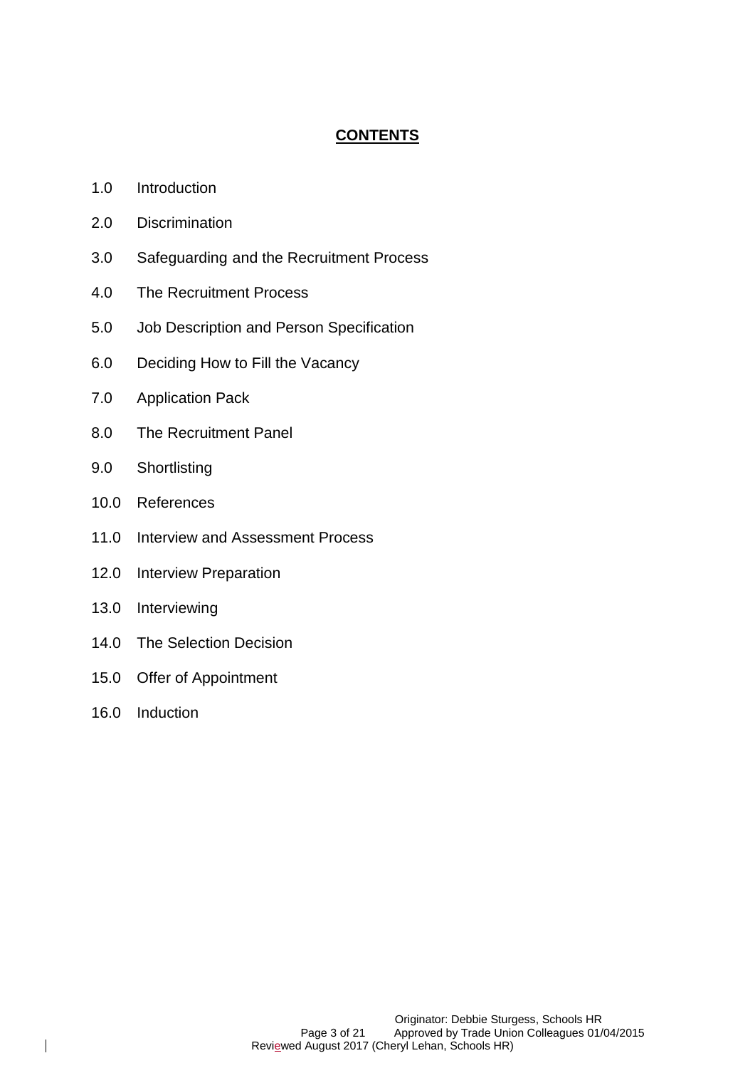## **CONTENTS**

- 1.0 Introduction
- 2.0 Discrimination
- 3.0 Safeguarding and the Recruitment Process
- 4.0 The Recruitment Process
- 5.0 Job Description and Person Specification
- 6.0 Deciding How to Fill the Vacancy
- 7.0 Application Pack
- 8.0 The Recruitment Panel
- 9.0 Shortlisting
- 10.0 References
- 11.0 Interview and Assessment Process
- 12.0 Interview Preparation
- 13.0 Interviewing
- 14.0 The Selection Decision
- 15.0 Offer of Appointment
- 16.0 Induction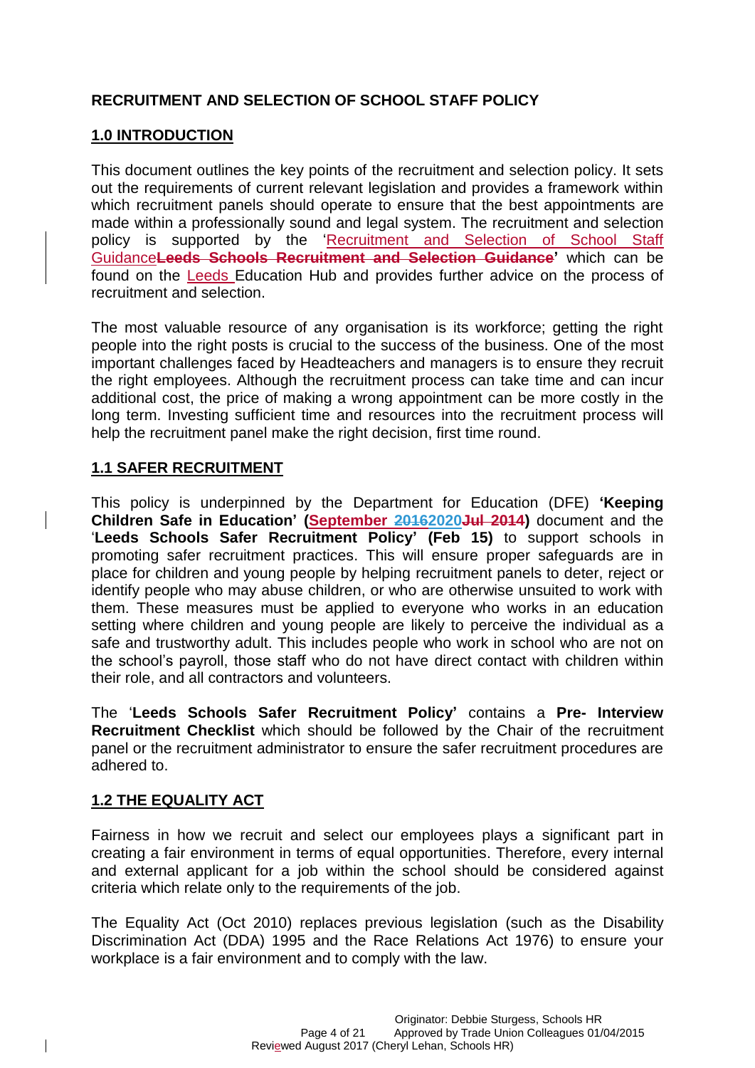# **RECRUITMENT AND SELECTION OF SCHOOL STAFF POLICY**

## **1.0 INTRODUCTION**

This document outlines the key points of the recruitment and selection policy. It sets out the requirements of current relevant legislation and provides a framework within which recruitment panels should operate to ensure that the best appointments are made within a professionally sound and legal system. The recruitment and selection policy is supported by the 'Recruitment and Selection of School Staff Guidance**Leeds Schools Recruitment and Selection Guidance'** which can be found on the Leeds Education Hub and provides further advice on the process of recruitment and selection.

The most valuable resource of any organisation is its workforce; getting the right people into the right posts is crucial to the success of the business. One of the most important challenges faced by Headteachers and managers is to ensure they recruit the right employees. Although the recruitment process can take time and can incur additional cost, the price of making a wrong appointment can be more costly in the long term. Investing sufficient time and resources into the recruitment process will help the recruitment panel make the right decision, first time round.

# **1.1 SAFER RECRUITMENT**

This policy is underpinned by the Department for Education (DFE) **'Keeping Children Safe in Education' (September 20162020Jul 2014)** document and the '**Leeds Schools Safer Recruitment Policy' (Feb 15)** to support schools in promoting safer recruitment practices. This will ensure proper safeguards are in place for children and young people by helping recruitment panels to deter, reject or identify people who may abuse children, or who are otherwise unsuited to work with them. These measures must be applied to everyone who works in an education setting where children and young people are likely to perceive the individual as a safe and trustworthy adult. This includes people who work in school who are not on the school's payroll, those staff who do not have direct contact with children within their role, and all contractors and volunteers.

The '**Leeds Schools Safer Recruitment Policy'** contains a **Pre- Interview Recruitment Checklist** which should be followed by the Chair of the recruitment panel or the recruitment administrator to ensure the safer recruitment procedures are adhered to.

# **1.2 THE EQUALITY ACT**

Fairness in how we recruit and select our employees plays a significant part in creating a fair environment in terms of equal opportunities. Therefore, every internal and external applicant for a job within the school should be considered against criteria which relate only to the requirements of the job.

The Equality Act (Oct 2010) replaces previous legislation (such as the Disability Discrimination Act (DDA) 1995 and the Race Relations Act 1976) to ensure your workplace is a fair environment and to comply with the law.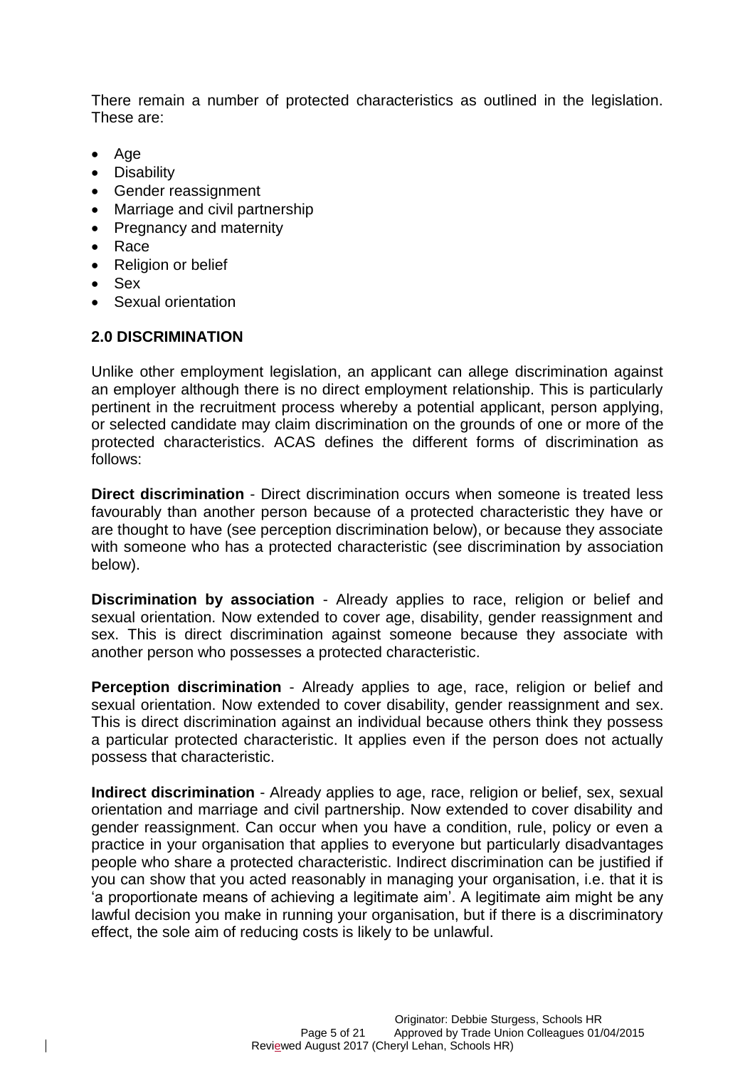There remain a number of protected characteristics as outlined in the legislation. These are:

- Age
- Disability
- Gender reassignment
- Marriage and civil partnership
- Pregnancy and maternity
- Race
- Religion or belief
- Sex
- Sexual orientation

# **2.0 DISCRIMINATION**

Unlike other employment legislation, an applicant can allege discrimination against an employer although there is no direct employment relationship. This is particularly pertinent in the recruitment process whereby a potential applicant, person applying, or selected candidate may claim discrimination on the grounds of one or more of the protected characteristics. ACAS defines the different forms of discrimination as follows:

**Direct discrimination** - Direct discrimination occurs when someone is treated less favourably than another person because of a protected characteristic they have or are thought to have (see perception discrimination below), or because they associate with someone who has a protected characteristic (see discrimination by association below).

**Discrimination by association** - Already applies to race, religion or belief and sexual orientation. Now extended to cover age, disability, gender reassignment and sex. This is direct discrimination against someone because they associate with another person who possesses a protected characteristic.

**Perception discrimination** - Already applies to age, race, religion or belief and sexual orientation. Now extended to cover disability, gender reassignment and sex. This is direct discrimination against an individual because others think they possess a particular protected characteristic. It applies even if the person does not actually possess that characteristic.

**Indirect discrimination** - Already applies to age, race, religion or belief, sex, sexual orientation and marriage and civil partnership. Now extended to cover disability and gender reassignment. Can occur when you have a condition, rule, policy or even a practice in your organisation that applies to everyone but particularly disadvantages people who share a protected characteristic. Indirect discrimination can be justified if you can show that you acted reasonably in managing your organisation, i.e. that it is 'a proportionate means of achieving a legitimate aim'. A legitimate aim might be any lawful decision you make in running your organisation, but if there is a discriminatory effect, the sole aim of reducing costs is likely to be unlawful.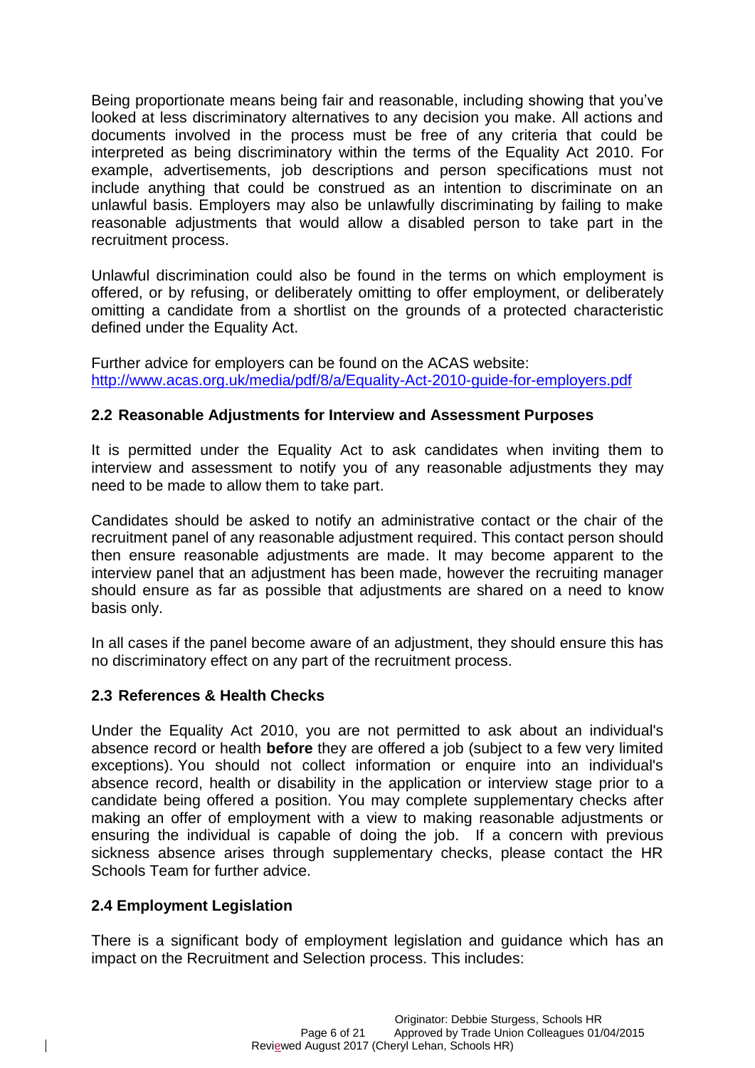Being proportionate means being fair and reasonable, including showing that you've looked at less discriminatory alternatives to any decision you make. All actions and documents involved in the process must be free of any criteria that could be interpreted as being discriminatory within the terms of the Equality Act 2010. For example, advertisements, job descriptions and person specifications must not include anything that could be construed as an intention to discriminate on an unlawful basis. Employers may also be unlawfully discriminating by failing to make reasonable adjustments that would allow a disabled person to take part in the recruitment process.

Unlawful discrimination could also be found in the terms on which employment is offered, or by refusing, or deliberately omitting to offer employment, or deliberately omitting a candidate from a shortlist on the grounds of a protected characteristic defined under the Equality Act.

Further advice for employers can be found on the ACAS website: <http://www.acas.org.uk/media/pdf/8/a/Equality-Act-2010-guide-for-employers.pdf>

## **2.2 Reasonable Adjustments for Interview and Assessment Purposes**

It is permitted under the Equality Act to ask candidates when inviting them to interview and assessment to notify you of any reasonable adjustments they may need to be made to allow them to take part.

Candidates should be asked to notify an administrative contact or the chair of the recruitment panel of any reasonable adjustment required. This contact person should then ensure reasonable adjustments are made. It may become apparent to the interview panel that an adjustment has been made, however the recruiting manager should ensure as far as possible that adjustments are shared on a need to know basis only.

In all cases if the panel become aware of an adjustment, they should ensure this has no discriminatory effect on any part of the recruitment process.

## **2.3 References & Health Checks**

Under the Equality Act 2010, you are not permitted to ask about an individual's absence record or health **before** they are offered a job (subject to a few very limited exceptions). You should not collect information or enquire into an individual's absence record, health or disability in the application or interview stage prior to a candidate being offered a position. You may complete supplementary checks after making an offer of employment with a view to making reasonable adjustments or ensuring the individual is capable of doing the job. If a concern with previous sickness absence arises through supplementary checks, please contact the HR Schools Team for further advice.

## **2.4 Employment Legislation**

There is a significant body of employment legislation and guidance which has an impact on the Recruitment and Selection process. This includes: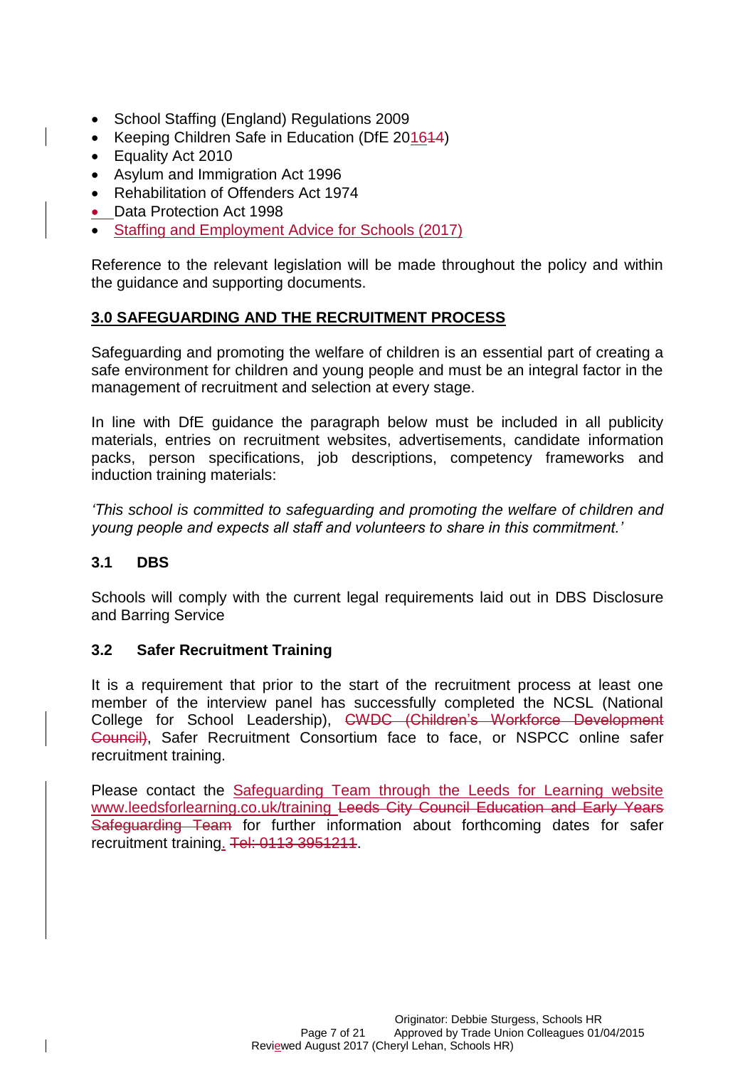- School Staffing (England) Regulations 2009
- Keeping Children Safe in Education (DfE 201644)
- Equality Act 2010
- Asylum and Immigration Act 1996
- Rehabilitation of Offenders Act 1974
- Data Protection Act 1998
- Staffing and Employment Advice for Schools (2017)

Reference to the relevant legislation will be made throughout the policy and within the guidance and supporting documents.

# **3.0 SAFEGUARDING AND THE RECRUITMENT PROCESS**

Safeguarding and promoting the welfare of children is an essential part of creating a safe environment for children and young people and must be an integral factor in the management of recruitment and selection at every stage.

In line with DfE guidance the paragraph below must be included in all publicity materials, entries on recruitment websites, advertisements, candidate information packs, person specifications, job descriptions, competency frameworks and induction training materials:

*'This school is committed to safeguarding and promoting the welfare of children and young people and expects all staff and volunteers to share in this commitment.'* 

## **3.1 DBS**

Schools will comply with the current legal requirements laid out in DBS Disclosure and Barring Service

## **3.2 Safer Recruitment Training**

It is a requirement that prior to the start of the recruitment process at least one member of the interview panel has successfully completed the NCSL (National College for School Leadership), CWDC (Children's Workforce Development Council), Safer Recruitment Consortium face to face, or NSPCC online safer recruitment training.

Please contact the Safeguarding Team through the Leeds for Learning website [www.leedsforlearning.co.uk/training](http://www.leedsforlearning.co.uk/training) Leeds City Council Education and Early Years Safeguarding Team for further information about forthcoming dates for safer recruitment training. Tel: 0113 3951211.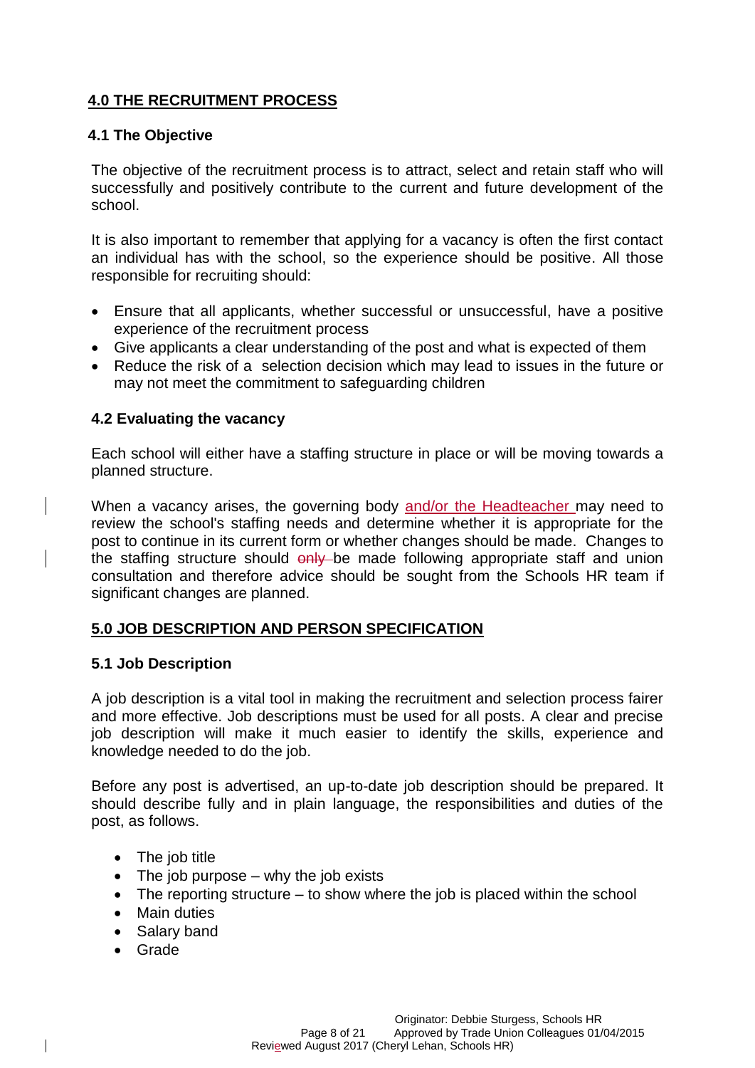# **4.0 THE RECRUITMENT PROCESS**

## **4.1 The Objective**

The objective of the recruitment process is to attract, select and retain staff who will successfully and positively contribute to the current and future development of the school.

It is also important to remember that applying for a vacancy is often the first contact an individual has with the school, so the experience should be positive. All those responsible for recruiting should:

- Ensure that all applicants, whether successful or unsuccessful, have a positive experience of the recruitment process
- Give applicants a clear understanding of the post and what is expected of them
- Reduce the risk of a selection decision which may lead to issues in the future or may not meet the commitment to safeguarding children

## **4.2 Evaluating the vacancy**

Each school will either have a staffing structure in place or will be moving towards a planned structure.

When a vacancy arises, the governing body and/or the Headteacher may need to review the school's staffing needs and determine whether it is appropriate for the post to continue in its current form or whether changes should be made. Changes to the staffing structure should only be made following appropriate staff and union consultation and therefore advice should be sought from the Schools HR team if significant changes are planned.

# **5.0 JOB DESCRIPTION AND PERSON SPECIFICATION**

## **5.1 Job Description**

A job description is a vital tool in making the recruitment and selection process fairer and more effective. Job descriptions must be used for all posts. A clear and precise job description will make it much easier to identify the skills, experience and knowledge needed to do the job.

Before any post is advertised, an up-to-date job description should be prepared. It should describe fully and in plain language, the responsibilities and duties of the post, as follows.

- The job title
- $\bullet$  The job purpose why the job exists
- $\bullet$  The reporting structure to show where the job is placed within the school
- Main duties
- Salary band
- Grade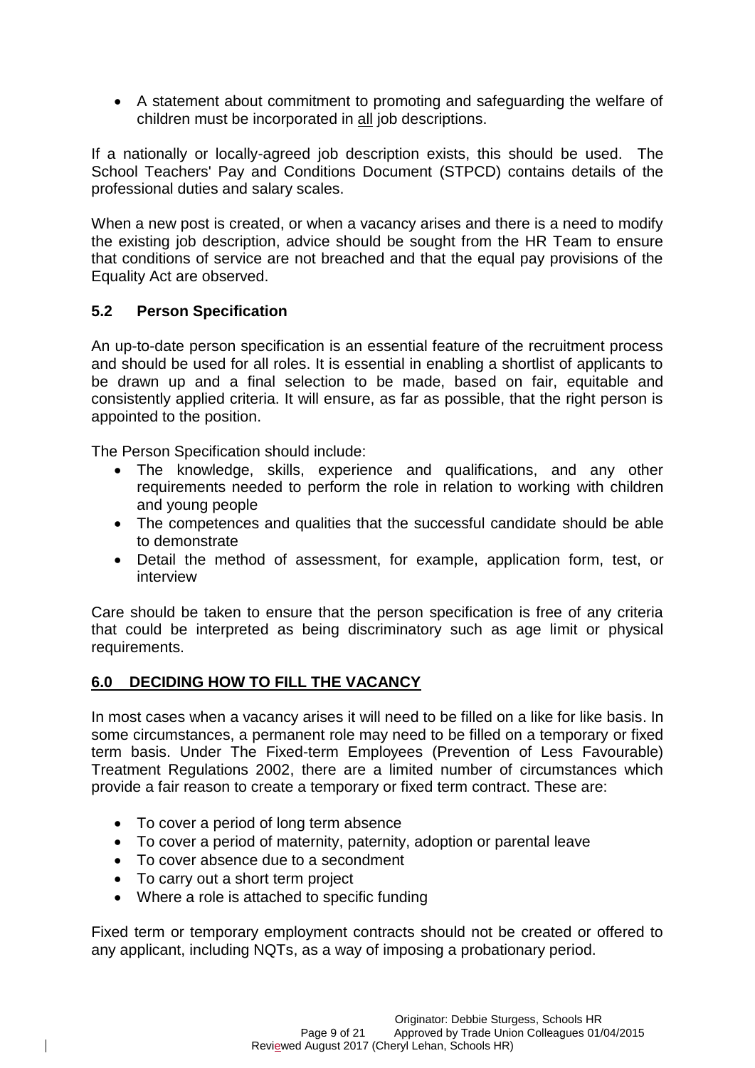A statement about commitment to promoting and safeguarding the welfare of children must be incorporated in all job descriptions.

If a nationally or locally-agreed job description exists, this should be used. The School Teachers' Pay and Conditions Document (STPCD) contains details of the professional duties and salary scales.

When a new post is created, or when a vacancy arises and there is a need to modify the existing job description, advice should be sought from the HR Team to ensure that conditions of service are not breached and that the equal pay provisions of the Equality Act are observed.

# **5.2 Person Specification**

An up-to-date person specification is an essential feature of the recruitment process and should be used for all roles. It is essential in enabling a shortlist of applicants to be drawn up and a final selection to be made, based on fair, equitable and consistently applied criteria. It will ensure, as far as possible, that the right person is appointed to the position.

The Person Specification should include:

- The knowledge, skills, experience and qualifications, and any other requirements needed to perform the role in relation to working with children and young people
- The competences and qualities that the successful candidate should be able to demonstrate
- Detail the method of assessment, for example, application form, test, or interview

Care should be taken to ensure that the person specification is free of any criteria that could be interpreted as being discriminatory such as age limit or physical requirements.

## **6.0 DECIDING HOW TO FILL THE VACANCY**

In most cases when a vacancy arises it will need to be filled on a like for like basis. In some circumstances, a permanent role may need to be filled on a temporary or fixed term basis. Under The Fixed-term Employees (Prevention of Less Favourable) Treatment Regulations 2002, there are a limited number of circumstances which provide a fair reason to create a temporary or fixed term contract. These are:

- To cover a period of long term absence
- To cover a period of maternity, paternity, adoption or parental leave
- To cover absence due to a secondment
- To carry out a short term project
- Where a role is attached to specific funding

Fixed term or temporary employment contracts should not be created or offered to any applicant, including NQTs, as a way of imposing a probationary period.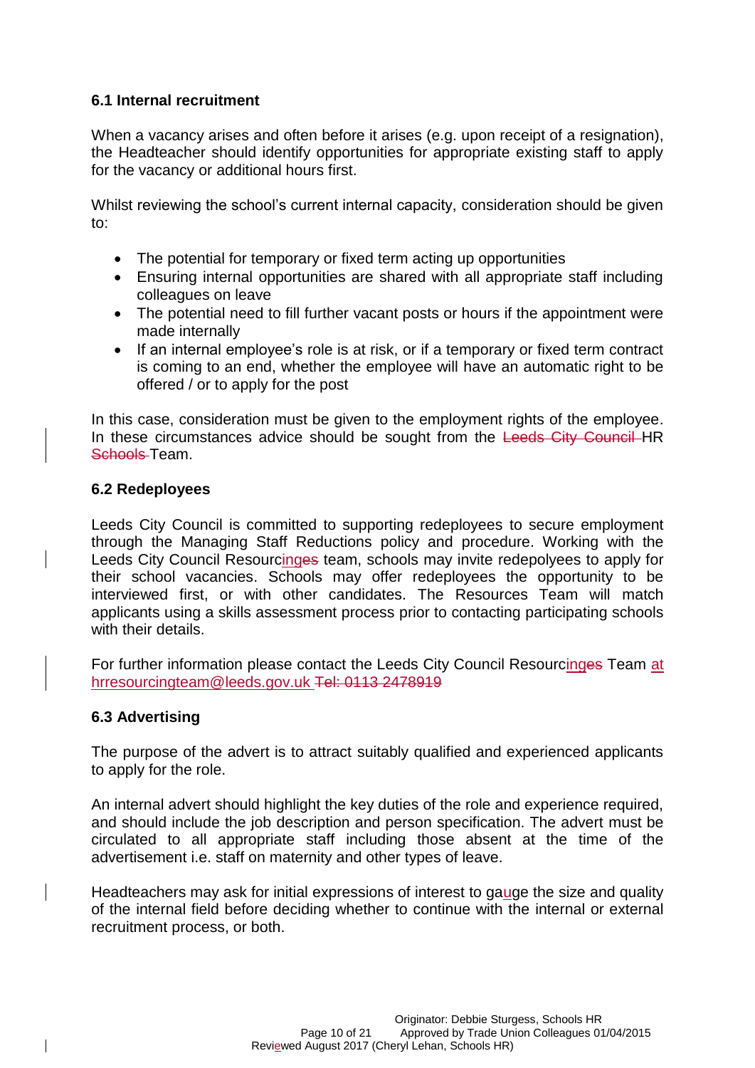# **6.1 Internal recruitment**

When a vacancy arises and often before it arises (e.g. upon receipt of a resignation), the Headteacher should identify opportunities for appropriate existing staff to apply for the vacancy or additional hours first.

Whilst reviewing the school's current internal capacity, consideration should be given to:

- The potential for temporary or fixed term acting up opportunities
- Ensuring internal opportunities are shared with all appropriate staff including colleagues on leave
- The potential need to fill further vacant posts or hours if the appointment were made internally
- If an internal employee's role is at risk, or if a temporary or fixed term contract is coming to an end, whether the employee will have an automatic right to be offered / or to apply for the post

In this case, consideration must be given to the employment rights of the employee. In these circumstances advice should be sought from the Leeds City Council HR Schools Team.

## **6.2 Redeployees**

Leeds City Council is committed to supporting redeployees to secure employment through the Managing Staff Reductions policy and procedure. Working with the Leeds City Council Resourcinges team, schools may invite redepolyees to apply for their school vacancies. Schools may offer redeployees the opportunity to be interviewed first, or with other candidates. The Resources Team will match applicants using a skills assessment process prior to contacting participating schools with their details.

For further information please contact the Leeds City Council Resourcinges Team at [hrresourcingteam@leeds.gov.uk](mailto:hrresourcingteam@leeds.gov.uk) Tel: 0113 2478919

# **6.3 Advertising**

The purpose of the advert is to attract suitably qualified and experienced applicants to apply for the role.

An internal advert should highlight the key duties of the role and experience required, and should include the job description and person specification. The advert must be circulated to all appropriate staff including those absent at the time of the advertisement i.e. staff on maternity and other types of leave.

Headteachers may ask for initial expressions of interest to gauge the size and quality of the internal field before deciding whether to continue with the internal or external recruitment process, or both.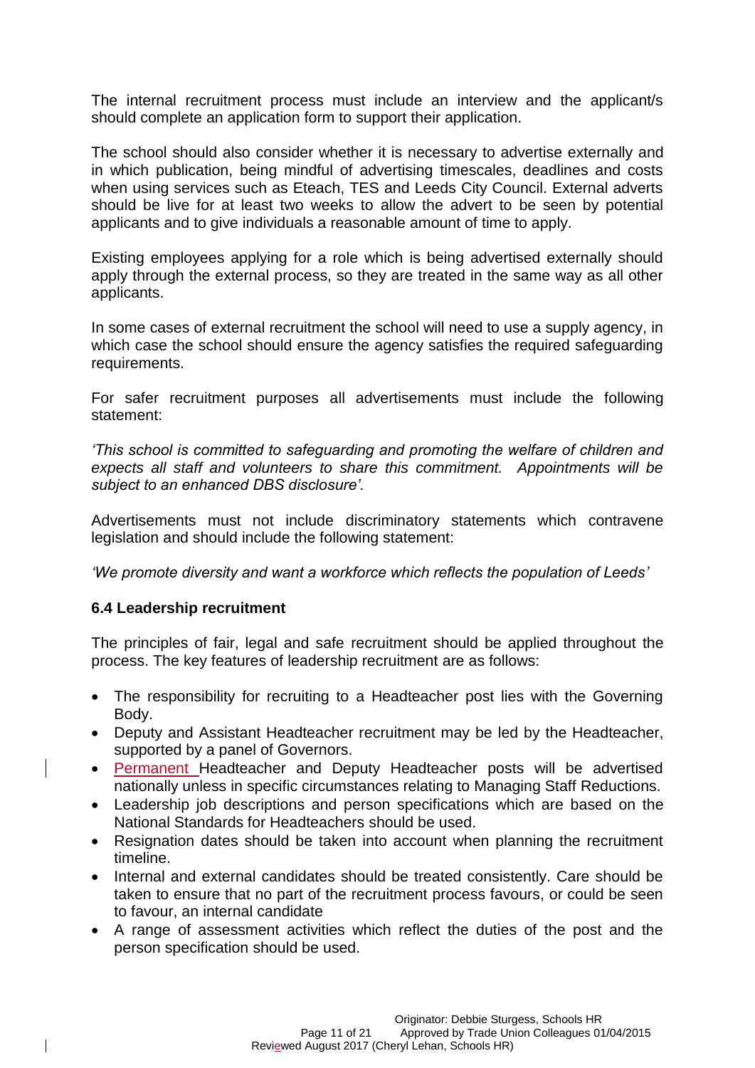The internal recruitment process must include an interview and the applicant/s should complete an application form to support their application.

The school should also consider whether it is necessary to advertise externally and in which publication, being mindful of advertising timescales, deadlines and costs when using services such as Eteach, TES and Leeds City Council. External adverts should be live for at least two weeks to allow the advert to be seen by potential applicants and to give individuals a reasonable amount of time to apply.

Existing employees applying for a role which is being advertised externally should apply through the external process, so they are treated in the same way as all other applicants.

In some cases of external recruitment the school will need to use a supply agency, in which case the school should ensure the agency satisfies the required safeguarding requirements.

For safer recruitment purposes all advertisements must include the following statement:

*'This school is committed to safeguarding and promoting the welfare of children and expects all staff and volunteers to share this commitment. Appointments will be subject to an enhanced DBS disclosure'.* 

Advertisements must not include discriminatory statements which contravene legislation and should include the following statement:

*'We promote diversity and want a workforce which reflects the population of Leeds'*

## **6.4 Leadership recruitment**

The principles of fair, legal and safe recruitment should be applied throughout the process. The key features of leadership recruitment are as follows:

- The responsibility for recruiting to a Headteacher post lies with the Governing Body.
- Deputy and Assistant Headteacher recruitment may be led by the Headteacher, supported by a panel of Governors.
- Permanent Headteacher and Deputy Headteacher posts will be advertised nationally unless in specific circumstances relating to Managing Staff Reductions.
- Leadership job descriptions and person specifications which are based on the National Standards for Headteachers should be used.
- Resignation dates should be taken into account when planning the recruitment timeline.
- Internal and external candidates should be treated consistently. Care should be taken to ensure that no part of the recruitment process favours, or could be seen to favour, an internal candidate
- A range of assessment activities which reflect the duties of the post and the person specification should be used.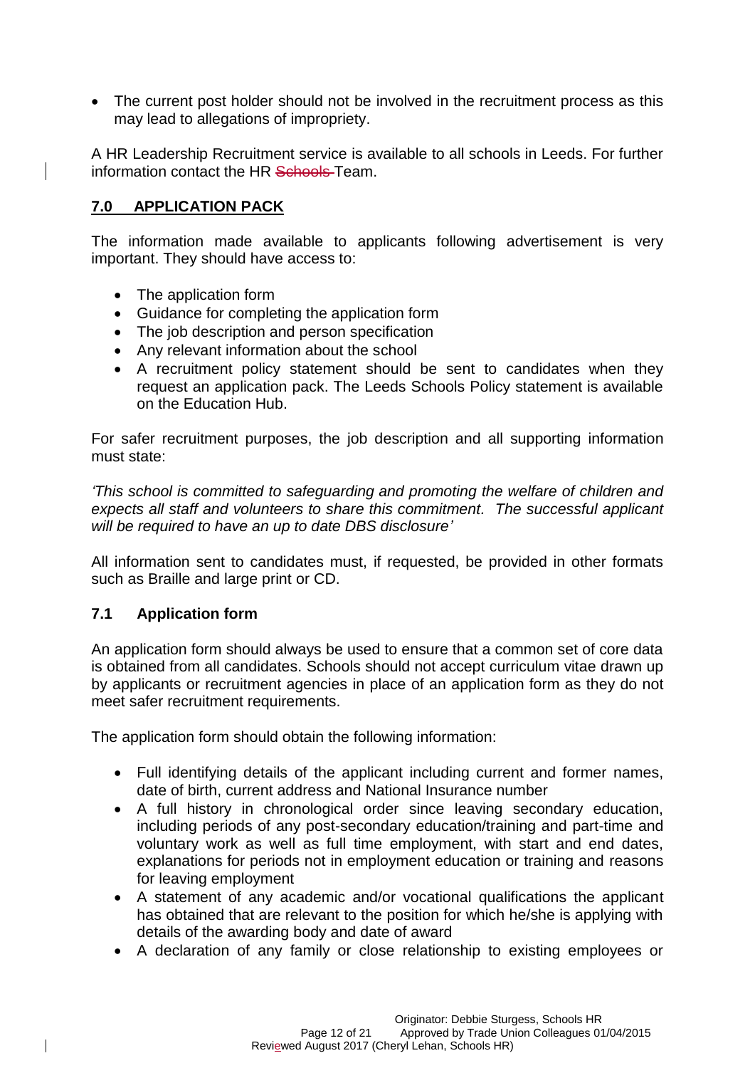• The current post holder should not be involved in the recruitment process as this may lead to allegations of impropriety.

A HR Leadership Recruitment service is available to all schools in Leeds. For further information contact the HR Schools Team.

# **7.0 APPLICATION PACK**

The information made available to applicants following advertisement is very important. They should have access to:

- The application form
- Guidance for completing the application form
- The job description and person specification
- Any relevant information about the school
- A recruitment policy statement should be sent to candidates when they request an application pack. The Leeds Schools Policy statement is available on the Education Hub.

For safer recruitment purposes, the job description and all supporting information must state:

*'This school is committed to safeguarding and promoting the welfare of children and expects all staff and volunteers to share this commitment. The successful applicant will be required to have an up to date DBS disclosure'*

All information sent to candidates must, if requested, be provided in other formats such as Braille and large print or CD.

## **7.1 Application form**

An application form should always be used to ensure that a common set of core data is obtained from all candidates. Schools should not accept curriculum vitae drawn up by applicants or recruitment agencies in place of an application form as they do not meet safer recruitment requirements.

The application form should obtain the following information:

- Full identifying details of the applicant including current and former names, date of birth, current address and National Insurance number
- A full history in chronological order since leaving secondary education, including periods of any post-secondary education/training and part-time and voluntary work as well as full time employment, with start and end dates, explanations for periods not in employment education or training and reasons for leaving employment
- A statement of any academic and/or vocational qualifications the applicant has obtained that are relevant to the position for which he/she is applying with details of the awarding body and date of award
- A declaration of any family or close relationship to existing employees or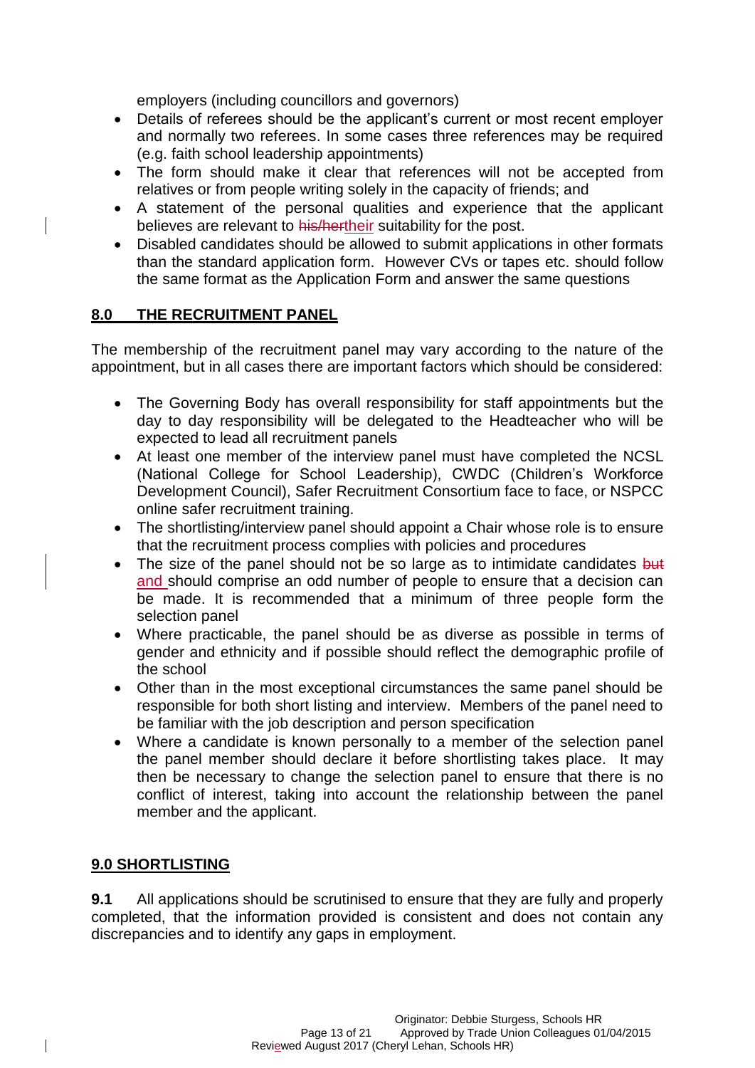employers (including councillors and governors)

- Details of referees should be the applicant's current or most recent employer and normally two referees. In some cases three references may be required (e.g. faith school leadership appointments)
- The form should make it clear that references will not be accepted from relatives or from people writing solely in the capacity of friends; and
- A statement of the personal qualities and experience that the applicant believes are relevant to his/hertheir suitability for the post.
- Disabled candidates should be allowed to submit applications in other formats than the standard application form. However CVs or tapes etc. should follow the same format as the Application Form and answer the same questions

## **8.0 THE RECRUITMENT PANEL**

The membership of the recruitment panel may vary according to the nature of the appointment, but in all cases there are important factors which should be considered:

- The Governing Body has overall responsibility for staff appointments but the day to day responsibility will be delegated to the Headteacher who will be expected to lead all recruitment panels
- At least one member of the interview panel must have completed the NCSL (National College for School Leadership), CWDC (Children's Workforce Development Council), Safer Recruitment Consortium face to face, or NSPCC online safer recruitment training.
- The shortlisting/interview panel should appoint a Chair whose role is to ensure that the recruitment process complies with policies and procedures
- The size of the panel should not be so large as to intimidate candidates but and should comprise an odd number of people to ensure that a decision can be made. It is recommended that a minimum of three people form the selection panel
- Where practicable, the panel should be as diverse as possible in terms of gender and ethnicity and if possible should reflect the demographic profile of the school
- Other than in the most exceptional circumstances the same panel should be responsible for both short listing and interview. Members of the panel need to be familiar with the job description and person specification
- Where a candidate is known personally to a member of the selection panel the panel member should declare it before shortlisting takes place. It may then be necessary to change the selection panel to ensure that there is no conflict of interest, taking into account the relationship between the panel member and the applicant.

## **9.0 SHORTLISTING**

**9.1** All applications should be scrutinised to ensure that they are fully and properly completed, that the information provided is consistent and does not contain any discrepancies and to identify any gaps in employment.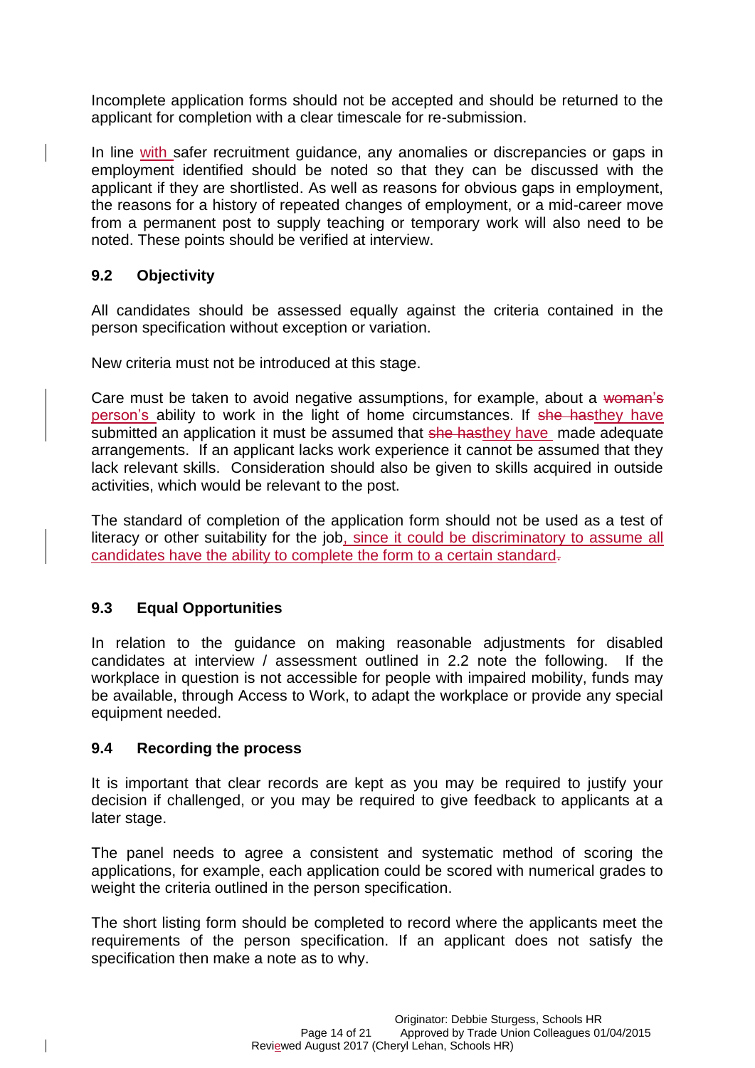Incomplete application forms should not be accepted and should be returned to the applicant for completion with a clear timescale for re-submission.

In line with safer recruitment guidance, any anomalies or discrepancies or gaps in employment identified should be noted so that they can be discussed with the applicant if they are shortlisted. As well as reasons for obvious gaps in employment, the reasons for a history of repeated changes of employment, or a mid-career move from a permanent post to supply teaching or temporary work will also need to be noted. These points should be verified at interview.

# **9.2 Objectivity**

All candidates should be assessed equally against the criteria contained in the person specification without exception or variation.

New criteria must not be introduced at this stage.

Care must be taken to avoid negative assumptions, for example, about a woman's person's ability to work in the light of home circumstances. If she hasthey have submitted an application it must be assumed that she hasthey have made adequate arrangements. If an applicant lacks work experience it cannot be assumed that they lack relevant skills. Consideration should also be given to skills acquired in outside activities, which would be relevant to the post.

The standard of completion of the application form should not be used as a test of literacy or other suitability for the job, since it could be discriminatory to assume all candidates have the ability to complete the form to a certain standard.

## **9.3 Equal Opportunities**

In relation to the guidance on making reasonable adjustments for disabled candidates at interview / assessment outlined in 2.2 note the following. If the workplace in question is not accessible for people with impaired mobility, funds may be available, through Access to Work, to adapt the workplace or provide any special equipment needed.

## **9.4 Recording the process**

It is important that clear records are kept as you may be required to justify your decision if challenged, or you may be required to give feedback to applicants at a later stage.

The panel needs to agree a consistent and systematic method of scoring the applications, for example, each application could be scored with numerical grades to weight the criteria outlined in the person specification.

The short listing form should be completed to record where the applicants meet the requirements of the person specification. If an applicant does not satisfy the specification then make a note as to why.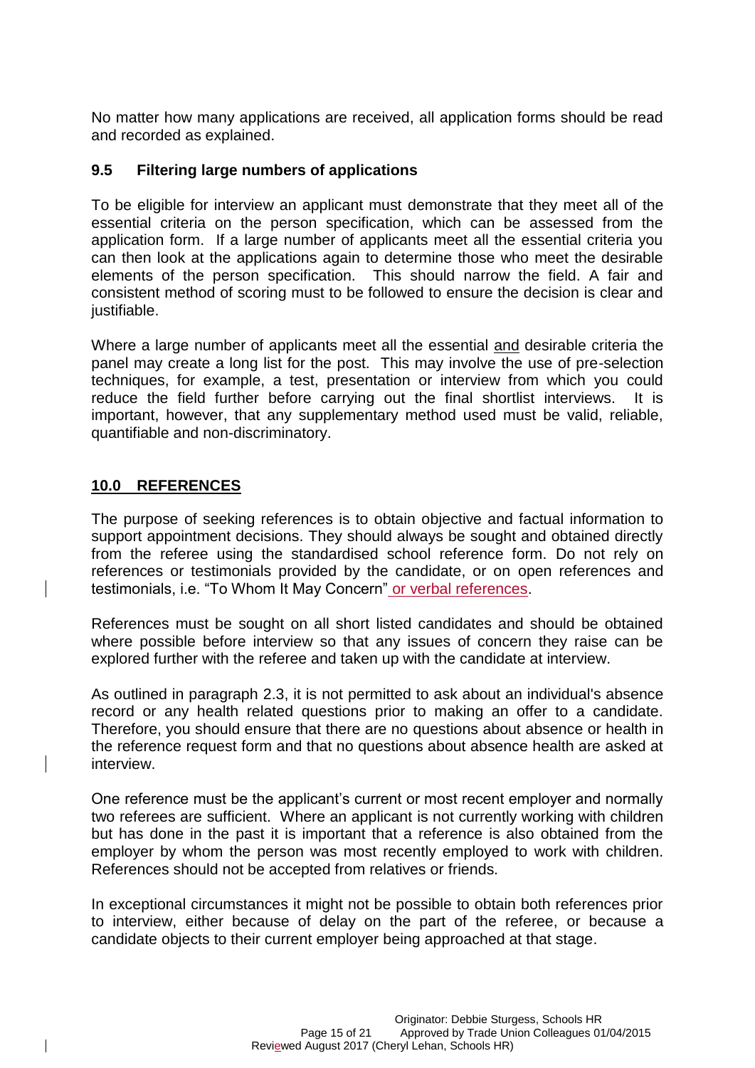No matter how many applications are received, all application forms should be read and recorded as explained.

## **9.5 Filtering large numbers of applications**

To be eligible for interview an applicant must demonstrate that they meet all of the essential criteria on the person specification, which can be assessed from the application form. If a large number of applicants meet all the essential criteria you can then look at the applications again to determine those who meet the desirable elements of the person specification. This should narrow the field. A fair and consistent method of scoring must to be followed to ensure the decision is clear and justifiable.

Where a large number of applicants meet all the essential and desirable criteria the panel may create a long list for the post. This may involve the use of pre-selection techniques, for example, a test, presentation or interview from which you could reduce the field further before carrying out the final shortlist interviews. It is important, however, that any supplementary method used must be valid, reliable, quantifiable and non-discriminatory.

# **10.0 REFERENCES**

The purpose of seeking references is to obtain objective and factual information to support appointment decisions. They should always be sought and obtained directly from the referee using the standardised school reference form. Do not rely on references or testimonials provided by the candidate, or on open references and testimonials, i.e. "To Whom It May Concern" or verbal references.

References must be sought on all short listed candidates and should be obtained where possible before interview so that any issues of concern they raise can be explored further with the referee and taken up with the candidate at interview.

As outlined in paragraph 2.3, it is not permitted to ask about an individual's absence record or any health related questions prior to making an offer to a candidate. Therefore, you should ensure that there are no questions about absence or health in the reference request form and that no questions about absence health are asked at interview.

One reference must be the applicant's current or most recent employer and normally two referees are sufficient. Where an applicant is not currently working with children but has done in the past it is important that a reference is also obtained from the employer by whom the person was most recently employed to work with children. References should not be accepted from relatives or friends.

In exceptional circumstances it might not be possible to obtain both references prior to interview, either because of delay on the part of the referee, or because a candidate objects to their current employer being approached at that stage.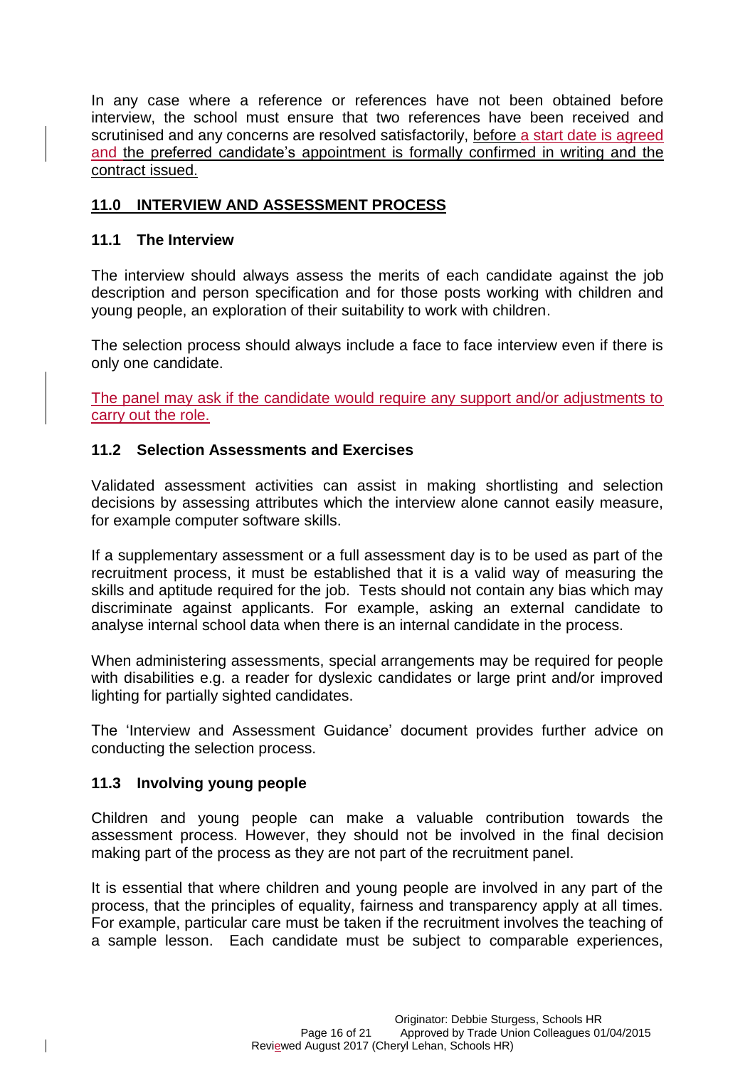In any case where a reference or references have not been obtained before interview, the school must ensure that two references have been received and scrutinised and any concerns are resolved satisfactorily, before a start date is agreed and the preferred candidate's appointment is formally confirmed in writing and the contract issued.

# **11.0 INTERVIEW AND ASSESSMENT PROCESS**

#### **11.1 The Interview**

The interview should always assess the merits of each candidate against the job description and person specification and for those posts working with children and young people, an exploration of their suitability to work with children.

The selection process should always include a face to face interview even if there is only one candidate.

The panel may ask if the candidate would require any support and/or adjustments to carry out the role.

#### **11.2 Selection Assessments and Exercises**

Validated assessment activities can assist in making shortlisting and selection decisions by assessing attributes which the interview alone cannot easily measure, for example computer software skills.

If a supplementary assessment or a full assessment day is to be used as part of the recruitment process, it must be established that it is a valid way of measuring the skills and aptitude required for the job. Tests should not contain any bias which may discriminate against applicants. For example, asking an external candidate to analyse internal school data when there is an internal candidate in the process.

When administering assessments, special arrangements may be required for people with disabilities e.g. a reader for dyslexic candidates or large print and/or improved lighting for partially sighted candidates.

The 'Interview and Assessment Guidance' document provides further advice on conducting the selection process.

## **11.3 Involving young people**

Children and young people can make a valuable contribution towards the assessment process. However, they should not be involved in the final decision making part of the process as they are not part of the recruitment panel.

It is essential that where children and young people are involved in any part of the process, that the principles of equality, fairness and transparency apply at all times. For example, particular care must be taken if the recruitment involves the teaching of a sample lesson. Each candidate must be subject to comparable experiences,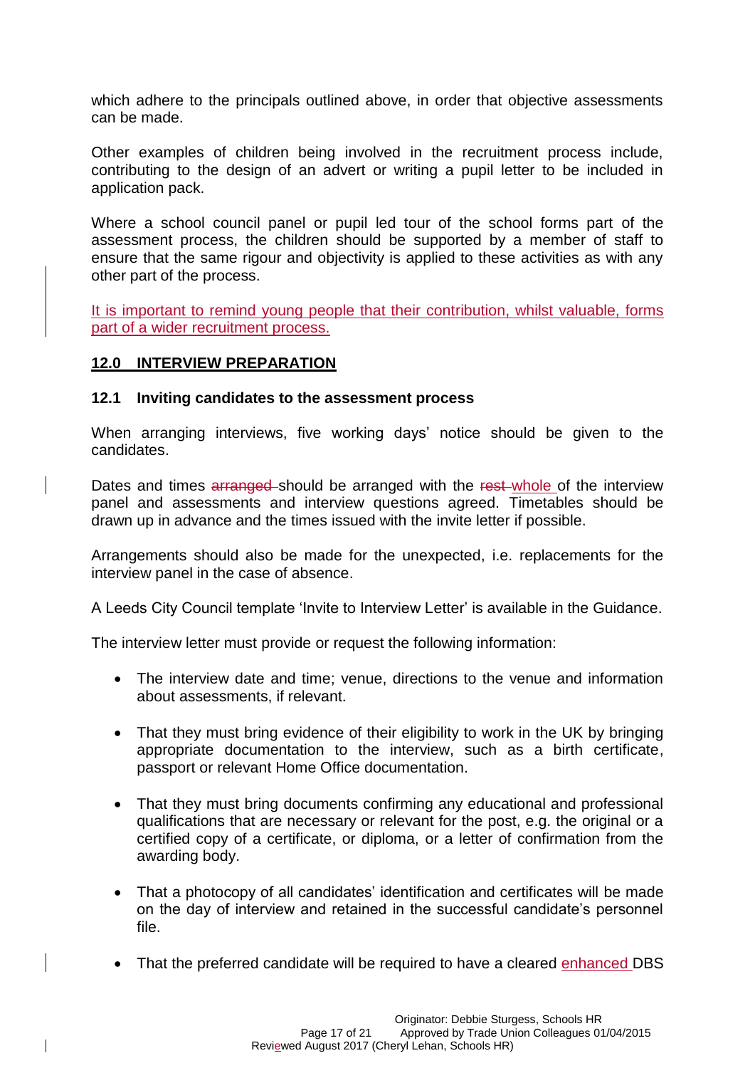which adhere to the principals outlined above, in order that objective assessments can be made.

Other examples of children being involved in the recruitment process include, contributing to the design of an advert or writing a pupil letter to be included in application pack.

Where a school council panel or pupil led tour of the school forms part of the assessment process, the children should be supported by a member of staff to ensure that the same rigour and objectivity is applied to these activities as with any other part of the process.

It is important to remind young people that their contribution, whilst valuable, forms part of a wider recruitment process.

#### **12.0 INTERVIEW PREPARATION**

#### **12.1 Inviting candidates to the assessment process**

When arranging interviews, five working days' notice should be given to the candidates.

Dates and times arranged should be arranged with the rest whole of the interview panel and assessments and interview questions agreed. Timetables should be drawn up in advance and the times issued with the invite letter if possible.

Arrangements should also be made for the unexpected, i.e. replacements for the interview panel in the case of absence.

A Leeds City Council template 'Invite to Interview Letter' is available in the Guidance.

The interview letter must provide or request the following information:

- The interview date and time; venue, directions to the venue and information about assessments, if relevant.
- That they must bring evidence of their eligibility to work in the UK by bringing appropriate documentation to the interview, such as a birth certificate, passport or relevant Home Office documentation.
- That they must bring documents confirming any educational and professional qualifications that are necessary or relevant for the post, e.g. the original or a certified copy of a certificate, or diploma, or a letter of confirmation from the awarding body.
- That a photocopy of all candidates' identification and certificates will be made on the day of interview and retained in the successful candidate's personnel file.
- That the preferred candidate will be required to have a cleared enhanced DBS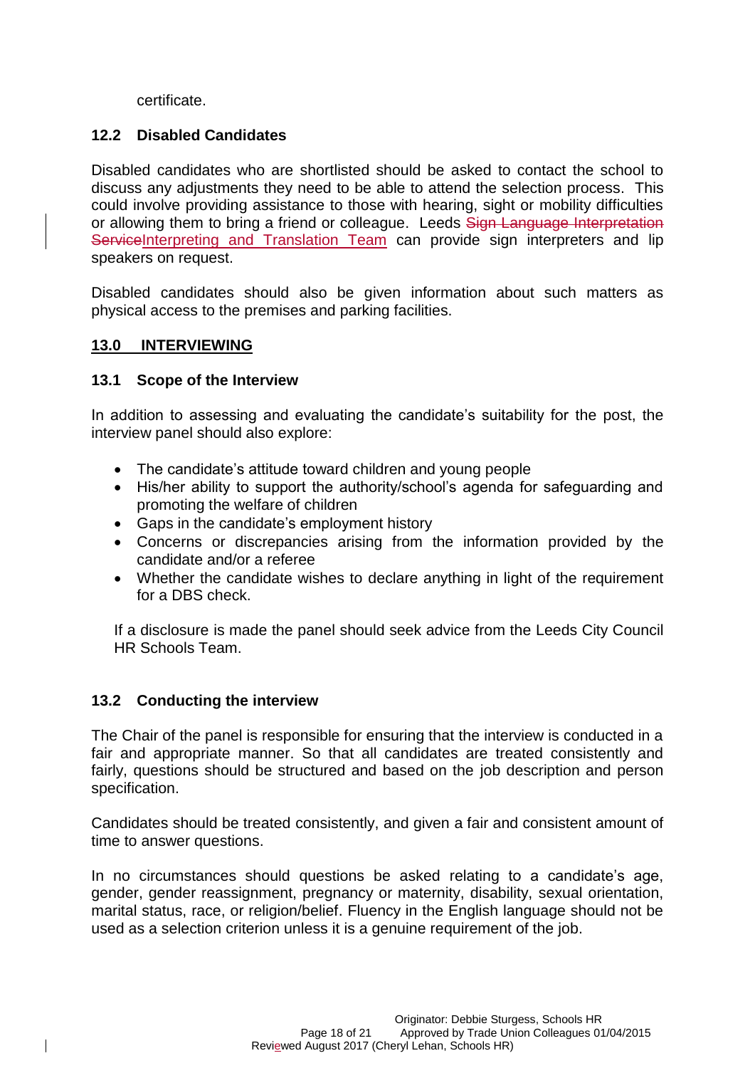certificate.

# **12.2 Disabled Candidates**

Disabled candidates who are shortlisted should be asked to contact the school to discuss any adjustments they need to be able to attend the selection process. This could involve providing assistance to those with hearing, sight or mobility difficulties or allowing them to bring a friend or colleague. Leeds Sign Language Interpretation ServiceInterpreting and Translation Team can provide sign interpreters and lip speakers on request.

Disabled candidates should also be given information about such matters as physical access to the premises and parking facilities.

## **13.0 INTERVIEWING**

## **13.1 Scope of the Interview**

In addition to assessing and evaluating the candidate's suitability for the post, the interview panel should also explore:

- The candidate's attitude toward children and young people
- His/her ability to support the authority/school's agenda for safeguarding and promoting the welfare of children
- Gaps in the candidate's employment history
- Concerns or discrepancies arising from the information provided by the candidate and/or a referee
- Whether the candidate wishes to declare anything in light of the requirement for a DBS check.

If a disclosure is made the panel should seek advice from the Leeds City Council HR Schools Team.

## **13.2 Conducting the interview**

The Chair of the panel is responsible for ensuring that the interview is conducted in a fair and appropriate manner. So that all candidates are treated consistently and fairly, questions should be structured and based on the job description and person specification.

Candidates should be treated consistently, and given a fair and consistent amount of time to answer questions.

In no circumstances should questions be asked relating to a candidate's age, gender, gender reassignment, pregnancy or maternity, disability, sexual orientation, marital status, race, or religion/belief. Fluency in the English language should not be used as a selection criterion unless it is a genuine requirement of the job.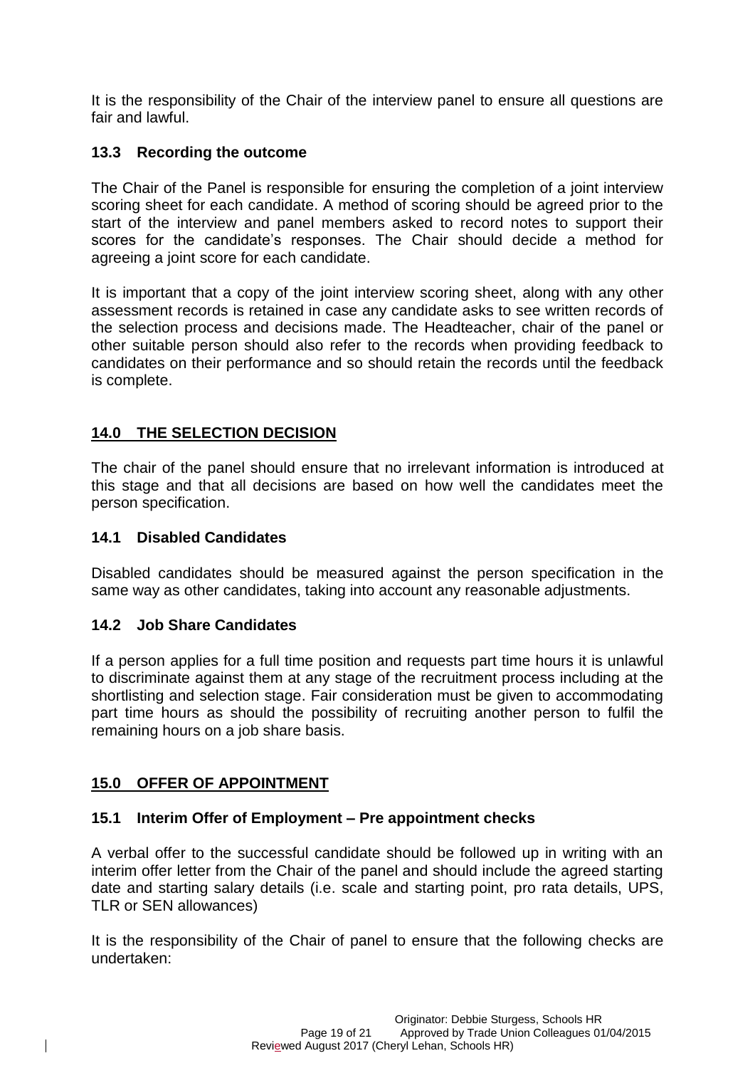It is the responsibility of the Chair of the interview panel to ensure all questions are fair and lawful.

# **13.3 Recording the outcome**

The Chair of the Panel is responsible for ensuring the completion of a joint interview scoring sheet for each candidate. A method of scoring should be agreed prior to the start of the interview and panel members asked to record notes to support their scores for the candidate's responses. The Chair should decide a method for agreeing a joint score for each candidate.

It is important that a copy of the joint interview scoring sheet, along with any other assessment records is retained in case any candidate asks to see written records of the selection process and decisions made. The Headteacher, chair of the panel or other suitable person should also refer to the records when providing feedback to candidates on their performance and so should retain the records until the feedback is complete.

# **14.0 THE SELECTION DECISION**

The chair of the panel should ensure that no irrelevant information is introduced at this stage and that all decisions are based on how well the candidates meet the person specification.

#### **14.1 Disabled Candidates**

Disabled candidates should be measured against the person specification in the same way as other candidates, taking into account any reasonable adjustments.

## **14.2 Job Share Candidates**

If a person applies for a full time position and requests part time hours it is unlawful to discriminate against them at any stage of the recruitment process including at the shortlisting and selection stage. Fair consideration must be given to accommodating part time hours as should the possibility of recruiting another person to fulfil the remaining hours on a job share basis.

# **15.0 OFFER OF APPOINTMENT**

## **15.1 Interim Offer of Employment – Pre appointment checks**

A verbal offer to the successful candidate should be followed up in writing with an interim offer letter from the Chair of the panel and should include the agreed starting date and starting salary details (i.e. scale and starting point, pro rata details, UPS, TLR or SEN allowances)

It is the responsibility of the Chair of panel to ensure that the following checks are undertaken: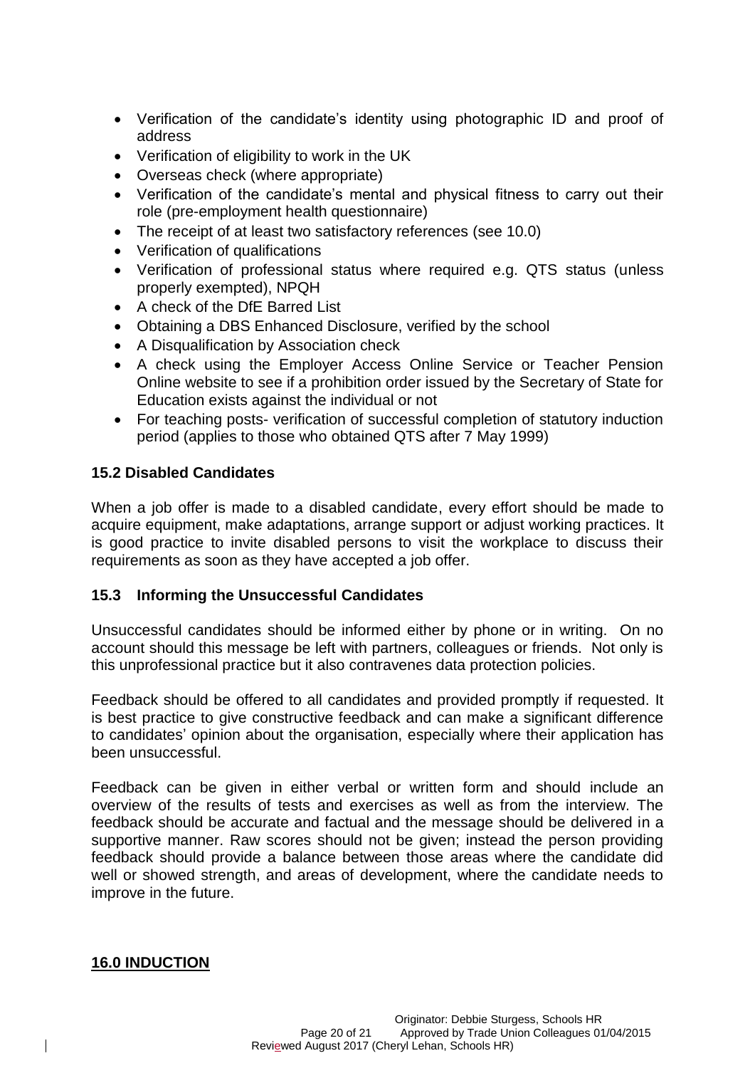- Verification of the candidate's identity using photographic ID and proof of address
- Verification of eligibility to work in the UK
- Overseas check (where appropriate)
- Verification of the candidate's mental and physical fitness to carry out their role (pre-employment health questionnaire)
- The receipt of at least two satisfactory references (see 10.0)
- Verification of qualifications
- Verification of professional status where required e.g. QTS status (unless properly exempted), NPQH
- A check of the DfE Barred List
- Obtaining a DBS Enhanced Disclosure, verified by the school
- A Disqualification by Association check
- A check using the Employer Access Online Service or Teacher Pension Online website to see if a prohibition order issued by the Secretary of State for Education exists against the individual or not
- For teaching posts- verification of successful completion of statutory induction period (applies to those who obtained QTS after 7 May 1999)

## **15.2 Disabled Candidates**

When a job offer is made to a disabled candidate, every effort should be made to acquire equipment, make adaptations, arrange support or adjust working practices. It is good practice to invite disabled persons to visit the workplace to discuss their requirements as soon as they have accepted a job offer.

## **15.3 Informing the Unsuccessful Candidates**

Unsuccessful candidates should be informed either by phone or in writing. On no account should this message be left with partners, colleagues or friends. Not only is this unprofessional practice but it also contravenes data protection policies.

Feedback should be offered to all candidates and provided promptly if requested. It is best practice to give constructive feedback and can make a significant difference to candidates' opinion about the organisation, especially where their application has been unsuccessful.

Feedback can be given in either verbal or written form and should include an overview of the results of tests and exercises as well as from the interview. The feedback should be accurate and factual and the message should be delivered in a supportive manner. Raw scores should not be given; instead the person providing feedback should provide a balance between those areas where the candidate did well or showed strength, and areas of development, where the candidate needs to improve in the future.

## **16.0 INDUCTION**